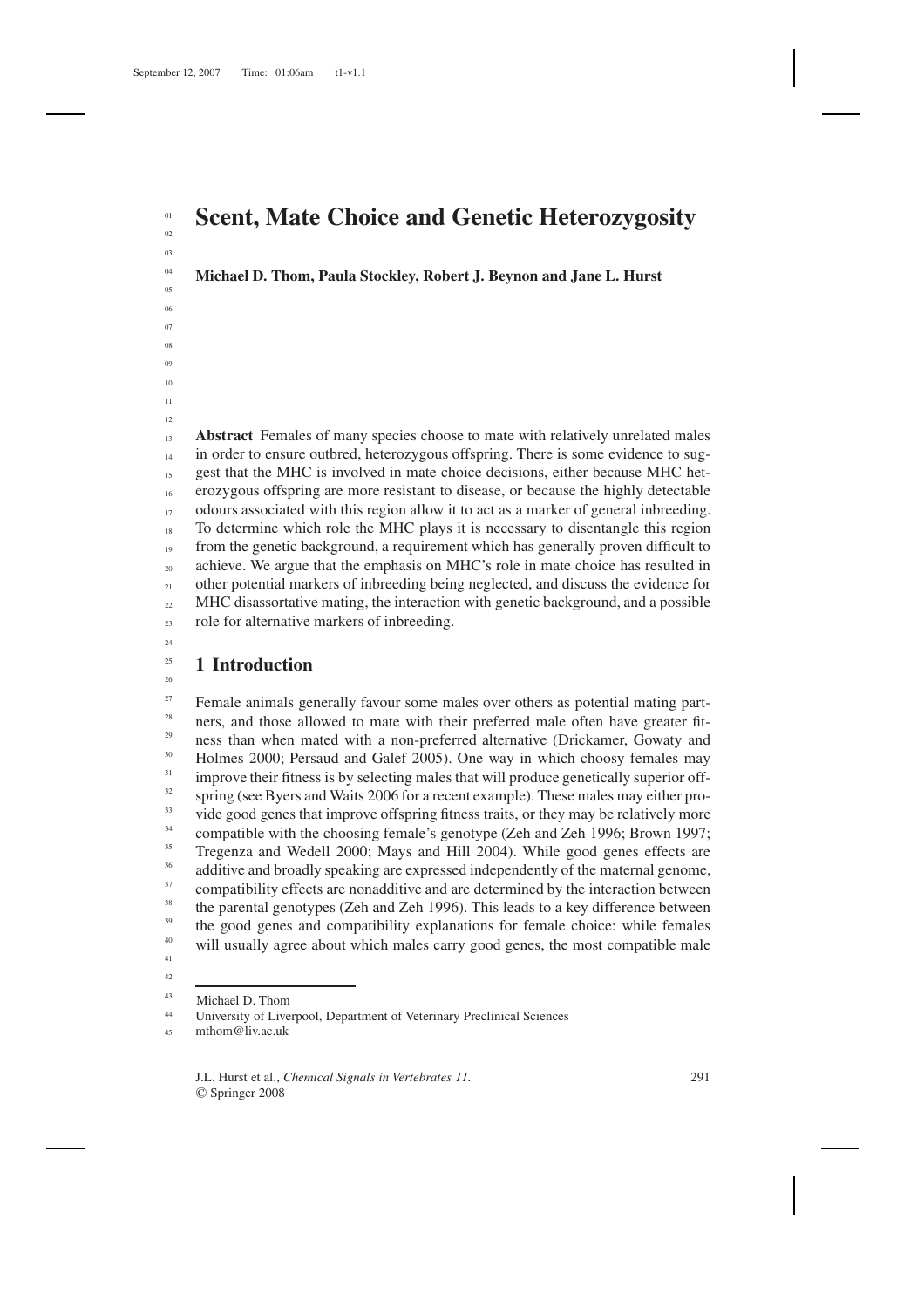**Michael D. Thom, Paula Stockley, Robert J. Beynon and Jane L. Hurst**

13 14 15 16 17 18 19  $20$  $21$ 22 23 **Abstract** Females of many species choose to mate with relatively unrelated males in order to ensure outbred, heterozygous offspring. There is some evidence to suggest that the MHC is involved in mate choice decisions, either because MHC heterozygous offspring are more resistant to disease, or because the highly detectable odours associated with this region allow it to act as a marker of general inbreeding. To determine which role the MHC plays it is necessary to disentangle this region from the genetic background, a requirement which has generally proven difficult to achieve. We argue that the emphasis on MHC's role in mate choice has resulted in other potential markers of inbreeding being neglected, and discuss the evidence for MHC disassortative mating, the interaction with genetic background, and a possible role for alternative markers of inbreeding.

 $24$ 

#### 25 **1 Introduction**

26

27 28 29 30 31 32 33 34 35 36 37 38 39 40 Female animals generally favour some males over others as potential mating partners, and those allowed to mate with their preferred male often have greater fitness than when mated with a non-preferred alternative (Drickamer, Gowaty and Holmes 2000; Persaud and Galef 2005). One way in which choosy females may improve their fitness is by selecting males that will produce genetically superior offspring (see Byers and Waits 2006 for a recent example). These males may either provide good genes that improve offspring fitness traits, or they may be relatively more compatible with the choosing female's genotype (Zeh and Zeh 1996; Brown 1997; Tregenza and Wedell 2000; Mays and Hill 2004). While good genes effects are additive and broadly speaking are expressed independently of the maternal genome, compatibility effects are nonadditive and are determined by the interaction between the parental genotypes (Zeh and Zeh 1996). This leads to a key difference between the good genes and compatibility explanations for female choice: while females will usually agree about which males carry good genes, the most compatible male

41 42

45 mthom@liv.ac.uk

<sup>43</sup> Michael D. Thom

<sup>44</sup> University of Liverpool, Department of Veterinary Preclinical Sciences

J.L. Hurst et al., *Chemical Signals in Vertebrates 11.* 291 © Springer 2008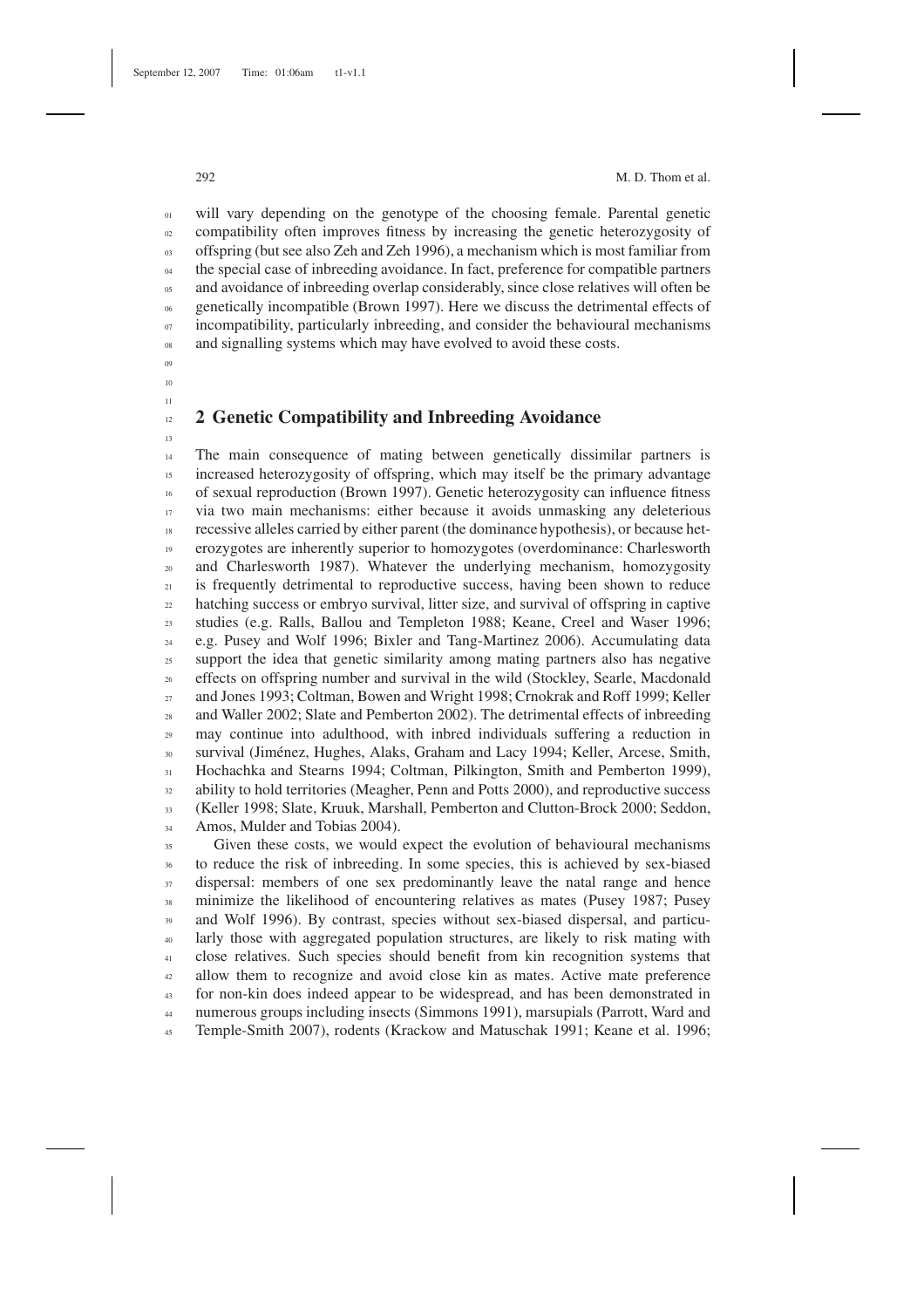$01$  $02$ 03  $04$ 05 06 07 08 will vary depending on the genotype of the choosing female. Parental genetic compatibility often improves fitness by increasing the genetic heterozygosity of offspring (but see also Zeh and Zeh 1996), a mechanism which is most familiar from the special case of inbreeding avoidance. In fact, preference for compatible partners and avoidance of inbreeding overlap considerably, since close relatives will often be genetically incompatible (Brown 1997). Here we discuss the detrimental effects of incompatibility, particularly inbreeding, and consider the behavioural mechanisms and signalling systems which may have evolved to avoid these costs.

09 10 11

#### **2 Genetic Compatibility and Inbreeding Avoidance**

12 13

14 15 16 17 18 19  $20$  $21$ 22 23  $24$  $25$ 26 27 28 29 30 31 32 33 34 The main consequence of mating between genetically dissimilar partners is increased heterozygosity of offspring, which may itself be the primary advantage of sexual reproduction (Brown 1997). Genetic heterozygosity can influence fitness via two main mechanisms: either because it avoids unmasking any deleterious recessive alleles carried by either parent (the dominance hypothesis), or because heterozygotes are inherently superior to homozygotes (overdominance: Charlesworth and Charlesworth 1987). Whatever the underlying mechanism, homozygosity is frequently detrimental to reproductive success, having been shown to reduce hatching success or embryo survival, litter size, and survival of offspring in captive studies (e.g. Ralls, Ballou and Templeton 1988; Keane, Creel and Waser 1996; e.g. Pusey and Wolf 1996; Bixler and Tang-Martinez 2006). Accumulating data support the idea that genetic similarity among mating partners also has negative effects on offspring number and survival in the wild (Stockley, Searle, Macdonald and Jones 1993; Coltman, Bowen and Wright 1998; Crnokrak and Roff 1999; Keller and Waller 2002; Slate and Pemberton 2002). The detrimental effects of inbreeding may continue into adulthood, with inbred individuals suffering a reduction in survival (Jiménez, Hughes, Alaks, Graham and Lacy 1994; Keller, Arcese, Smith, Hochachka and Stearns 1994; Coltman, Pilkington, Smith and Pemberton 1999), ability to hold territories (Meagher, Penn and Potts 2000), and reproductive success (Keller 1998; Slate, Kruuk, Marshall, Pemberton and Clutton-Brock 2000; Seddon, Amos, Mulder and Tobias 2004).

35 36 37 38 39 40 41 42 43 44 45 Given these costs, we would expect the evolution of behavioural mechanisms to reduce the risk of inbreeding. In some species, this is achieved by sex-biased dispersal: members of one sex predominantly leave the natal range and hence minimize the likelihood of encountering relatives as mates (Pusey 1987; Pusey and Wolf 1996). By contrast, species without sex-biased dispersal, and particularly those with aggregated population structures, are likely to risk mating with close relatives. Such species should benefit from kin recognition systems that allow them to recognize and avoid close kin as mates. Active mate preference for non-kin does indeed appear to be widespread, and has been demonstrated in numerous groups including insects (Simmons 1991), marsupials (Parrott, Ward and Temple-Smith 2007), rodents (Krackow and Matuschak 1991; Keane et al. 1996;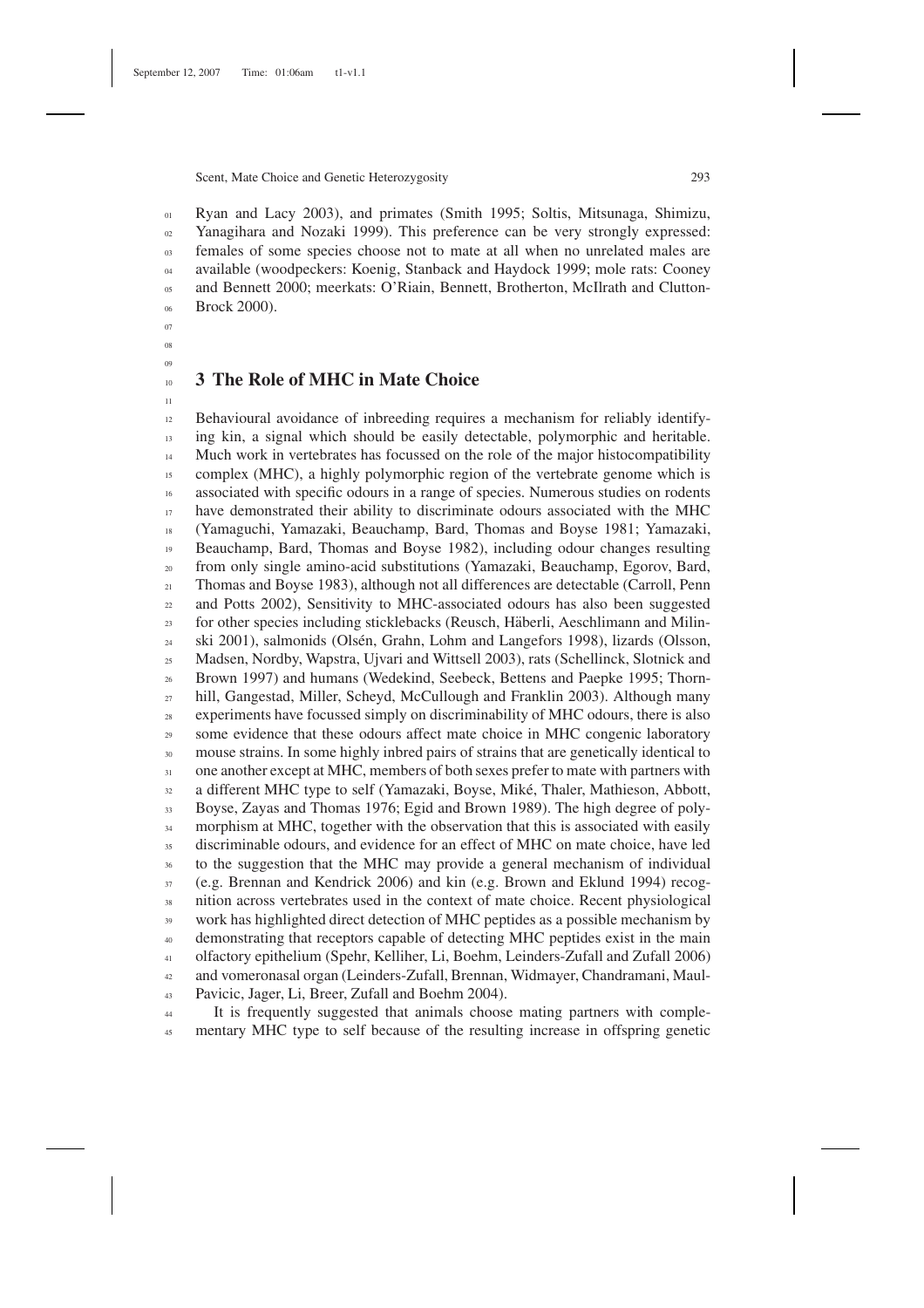$01$  $02$ 03  $04$ 05 06 Ryan and Lacy 2003), and primates (Smith 1995; Soltis, Mitsunaga, Shimizu, Yanagihara and Nozaki 1999). This preference can be very strongly expressed: females of some species choose not to mate at all when no unrelated males are available (woodpeckers: Koenig, Stanback and Haydock 1999; mole rats: Cooney and Bennett 2000; meerkats: O'Riain, Bennett, Brotherton, McIlrath and Clutton-Brock 2000).

- 07
- 08 09

10 11

## **3 The Role of MHC in Mate Choice**

12 13 14 15 16 17 18 19  $20$  $21$ 22 23  $24$  $25$ 26 27 28 29 30 31 32 33 34 35 36 37 38 39 40 41 42 43 Behavioural avoidance of inbreeding requires a mechanism for reliably identifying kin, a signal which should be easily detectable, polymorphic and heritable. Much work in vertebrates has focussed on the role of the major histocompatibility complex (MHC), a highly polymorphic region of the vertebrate genome which is associated with specific odours in a range of species. Numerous studies on rodents have demonstrated their ability to discriminate odours associated with the MHC (Yamaguchi, Yamazaki, Beauchamp, Bard, Thomas and Boyse 1981; Yamazaki, Beauchamp, Bard, Thomas and Boyse 1982), including odour changes resulting from only single amino-acid substitutions (Yamazaki, Beauchamp, Egorov, Bard, Thomas and Boyse 1983), although not all differences are detectable (Carroll, Penn and Potts 2002), Sensitivity to MHC-associated odours has also been suggested for other species including sticklebacks (Reusch, Häberli, Aeschlimann and Milinski 2001), salmonids (Olsén, Grahn, Lohm and Langefors 1998), lizards (Olsson, Madsen, Nordby, Wapstra, Ujvari and Wittsell 2003), rats (Schellinck, Slotnick and Brown 1997) and humans (Wedekind, Seebeck, Bettens and Paepke 1995; Thornhill, Gangestad, Miller, Scheyd, McCullough and Franklin 2003). Although many experiments have focussed simply on discriminability of MHC odours, there is also some evidence that these odours affect mate choice in MHC congenic laboratory mouse strains. In some highly inbred pairs of strains that are genetically identical to one another except at MHC, members of both sexes prefer to mate with partners with a different MHC type to self (Yamazaki, Boyse, Miké, Thaler, Mathieson, Abbott, Boyse, Zayas and Thomas 1976; Egid and Brown 1989). The high degree of polymorphism at MHC, together with the observation that this is associated with easily discriminable odours, and evidence for an effect of MHC on mate choice, have led to the suggestion that the MHC may provide a general mechanism of individual (e.g. Brennan and Kendrick 2006) and kin (e.g. Brown and Eklund 1994) recognition across vertebrates used in the context of mate choice. Recent physiological work has highlighted direct detection of MHC peptides as a possible mechanism by demonstrating that receptors capable of detecting MHC peptides exist in the main olfactory epithelium (Spehr, Kelliher, Li, Boehm, Leinders-Zufall and Zufall 2006) and vomeronasal organ (Leinders-Zufall, Brennan, Widmayer, Chandramani, Maul-Pavicic, Jager, Li, Breer, Zufall and Boehm 2004).

44 45 It is frequently suggested that animals choose mating partners with complementary MHC type to self because of the resulting increase in offspring genetic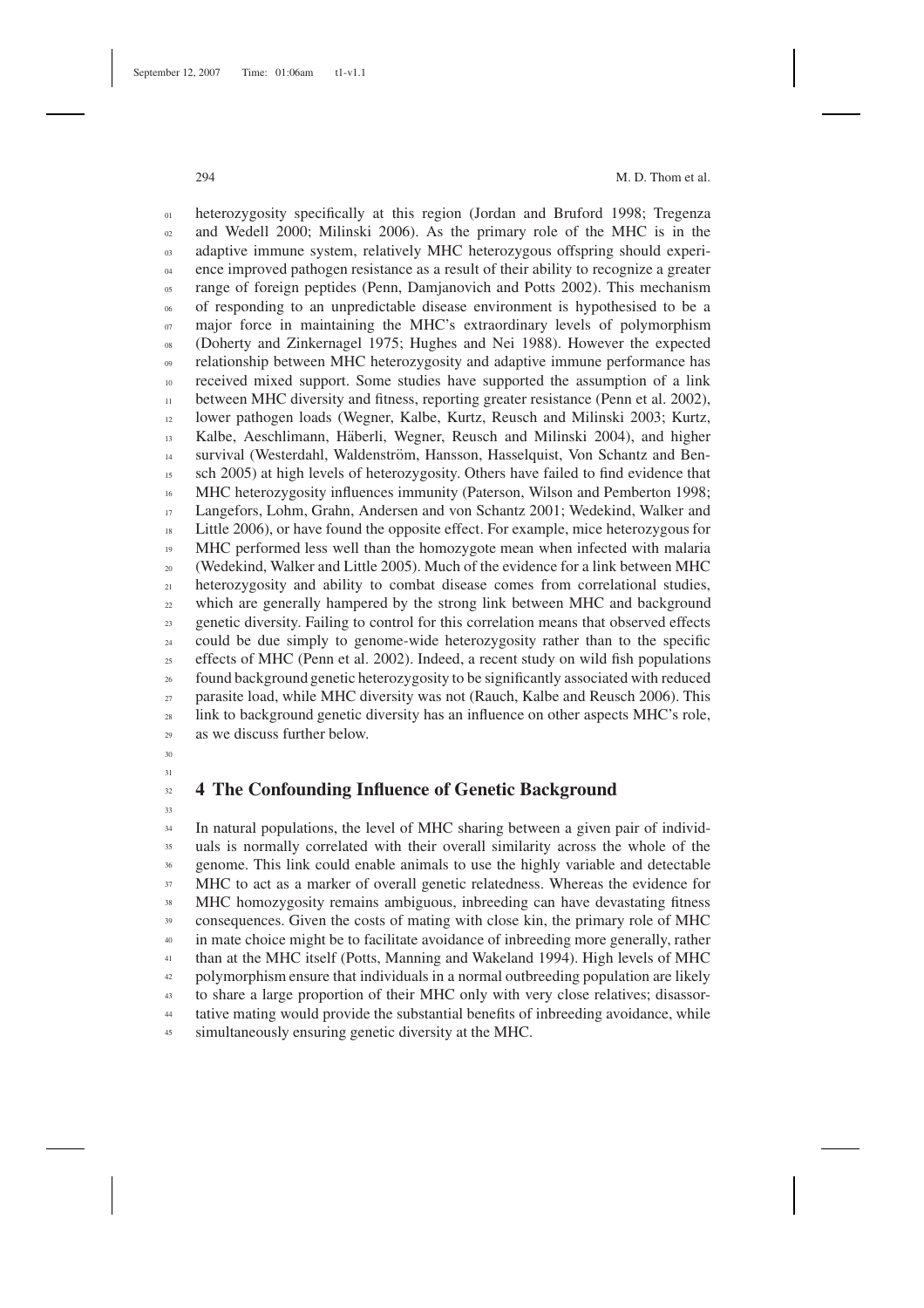$01$  $02$ 03  $04$ 05 06 07 08 09 10 11 12 13 14 15 16 17 18 19  $20$  $21$ 22 23  $24$  $25$ 26 27 28 29 heterozygosity specifically at this region (Jordan and Bruford 1998; Tregenza and Wedell 2000; Milinski 2006). As the primary role of the MHC is in the adaptive immune system, relatively MHC heterozygous offspring should experience improved pathogen resistance as a result of their ability to recognize a greater range of foreign peptides (Penn, Damjanovich and Potts 2002). This mechanism of responding to an unpredictable disease environment is hypothesised to be a major force in maintaining the MHC's extraordinary levels of polymorphism (Doherty and Zinkernagel 1975; Hughes and Nei 1988). However the expected relationship between MHC heterozygosity and adaptive immune performance has received mixed support. Some studies have supported the assumption of a link between MHC diversity and fitness, reporting greater resistance (Penn et al. 2002), lower pathogen loads (Wegner, Kalbe, Kurtz, Reusch and Milinski 2003; Kurtz, Kalbe, Aeschlimann, Häberli, Wegner, Reusch and Milinski 2004), and higher survival (Westerdahl, Waldenström, Hansson, Hasselquist, Von Schantz and Bensch 2005) at high levels of heterozygosity. Others have failed to find evidence that MHC heterozygosity influences immunity (Paterson, Wilson and Pemberton 1998; Langefors, Lohm, Grahn, Andersen and von Schantz 2001; Wedekind, Walker and Little 2006), or have found the opposite effect. For example, mice heterozygous for MHC performed less well than the homozygote mean when infected with malaria (Wedekind, Walker and Little 2005). Much of the evidence for a link between MHC heterozygosity and ability to combat disease comes from correlational studies, which are generally hampered by the strong link between MHC and background genetic diversity. Failing to control for this correlation means that observed effects could be due simply to genome-wide heterozygosity rather than to the specific effects of MHC (Penn et al. 2002). Indeed, a recent study on wild fish populations found background genetic heterozygosity to be significantly associated with reduced parasite load, while MHC diversity was not (Rauch, Kalbe and Reusch 2006). This link to background genetic diversity has an influence on other aspects MHC's role, as we discuss further below.

30 31

32 33

## **4 The Confounding Influence of Genetic Background**

34 35 36 37 38 39 40 41 42 43 44 45 In natural populations, the level of MHC sharing between a given pair of individuals is normally correlated with their overall similarity across the whole of the genome. This link could enable animals to use the highly variable and detectable MHC to act as a marker of overall genetic relatedness. Whereas the evidence for MHC homozygosity remains ambiguous, inbreeding can have devastating fitness consequences. Given the costs of mating with close kin, the primary role of MHC in mate choice might be to facilitate avoidance of inbreeding more generally, rather than at the MHC itself (Potts, Manning and Wakeland 1994). High levels of MHC polymorphism ensure that individuals in a normal outbreeding population are likely to share a large proportion of their MHC only with very close relatives; disassortative mating would provide the substantial benefits of inbreeding avoidance, while simultaneously ensuring genetic diversity at the MHC.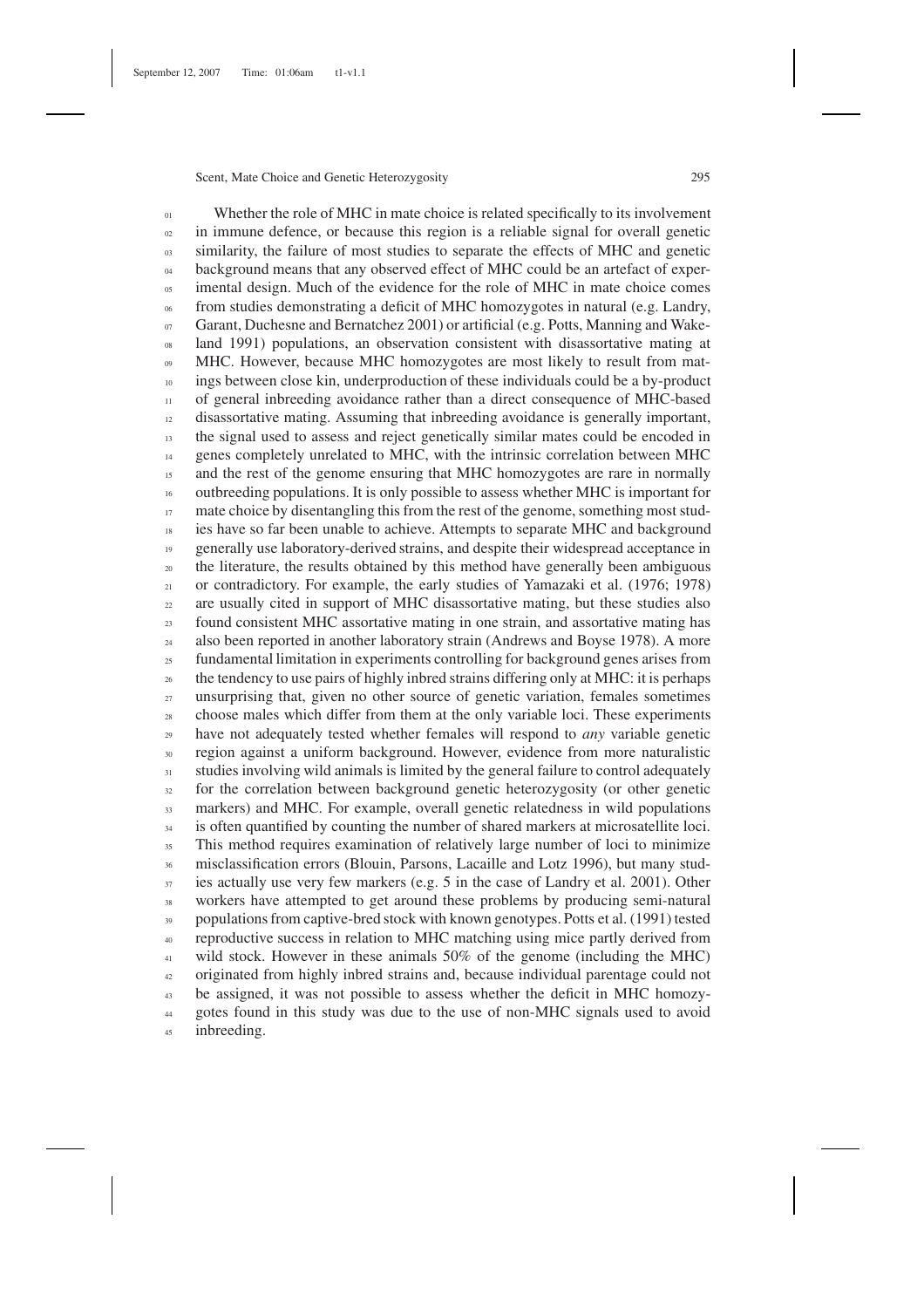$01$  $02$ 03  $04$ 05 06 07 08 09 10 11 12 13 14 15 16 17 18 19  $20$  $21$ 22 23  $24$  $25$ 26 27 28  $29$ 30 31 32 33 34 35 36 37 38 39 40 41 42 43 44 45 Whether the role of MHC in mate choice is related specifically to its involvement in immune defence, or because this region is a reliable signal for overall genetic similarity, the failure of most studies to separate the effects of MHC and genetic background means that any observed effect of MHC could be an artefact of experimental design. Much of the evidence for the role of MHC in mate choice comes from studies demonstrating a deficit of MHC homozygotes in natural (e.g. Landry, Garant, Duchesne and Bernatchez 2001) or artificial (e.g. Potts, Manning and Wakeland 1991) populations, an observation consistent with disassortative mating at MHC. However, because MHC homozygotes are most likely to result from matings between close kin, underproduction of these individuals could be a by-product of general inbreeding avoidance rather than a direct consequence of MHC-based disassortative mating. Assuming that inbreeding avoidance is generally important, the signal used to assess and reject genetically similar mates could be encoded in genes completely unrelated to MHC, with the intrinsic correlation between MHC and the rest of the genome ensuring that MHC homozygotes are rare in normally outbreeding populations. It is only possible to assess whether MHC is important for mate choice by disentangling this from the rest of the genome, something most studies have so far been unable to achieve. Attempts to separate MHC and background generally use laboratory-derived strains, and despite their widespread acceptance in the literature, the results obtained by this method have generally been ambiguous or contradictory. For example, the early studies of Yamazaki et al. (1976; 1978) are usually cited in support of MHC disassortative mating, but these studies also found consistent MHC assortative mating in one strain, and assortative mating has also been reported in another laboratory strain (Andrews and Boyse 1978). A more fundamental limitation in experiments controlling for background genes arises from the tendency to use pairs of highly inbred strains differing only at MHC: it is perhaps unsurprising that, given no other source of genetic variation, females sometimes choose males which differ from them at the only variable loci. These experiments have not adequately tested whether females will respond to *any* variable genetic region against a uniform background. However, evidence from more naturalistic studies involving wild animals is limited by the general failure to control adequately for the correlation between background genetic heterozygosity (or other genetic markers) and MHC. For example, overall genetic relatedness in wild populations is often quantified by counting the number of shared markers at microsatellite loci. This method requires examination of relatively large number of loci to minimize misclassification errors (Blouin, Parsons, Lacaille and Lotz 1996), but many studies actually use very few markers (e.g. 5 in the case of Landry et al. 2001). Other workers have attempted to get around these problems by producing semi-natural populations from captive-bred stock with known genotypes. Potts et al. (1991) tested reproductive success in relation to MHC matching using mice partly derived from wild stock. However in these animals 50% of the genome (including the MHC) originated from highly inbred strains and, because individual parentage could not be assigned, it was not possible to assess whether the deficit in MHC homozygotes found in this study was due to the use of non-MHC signals used to avoid inbreeding.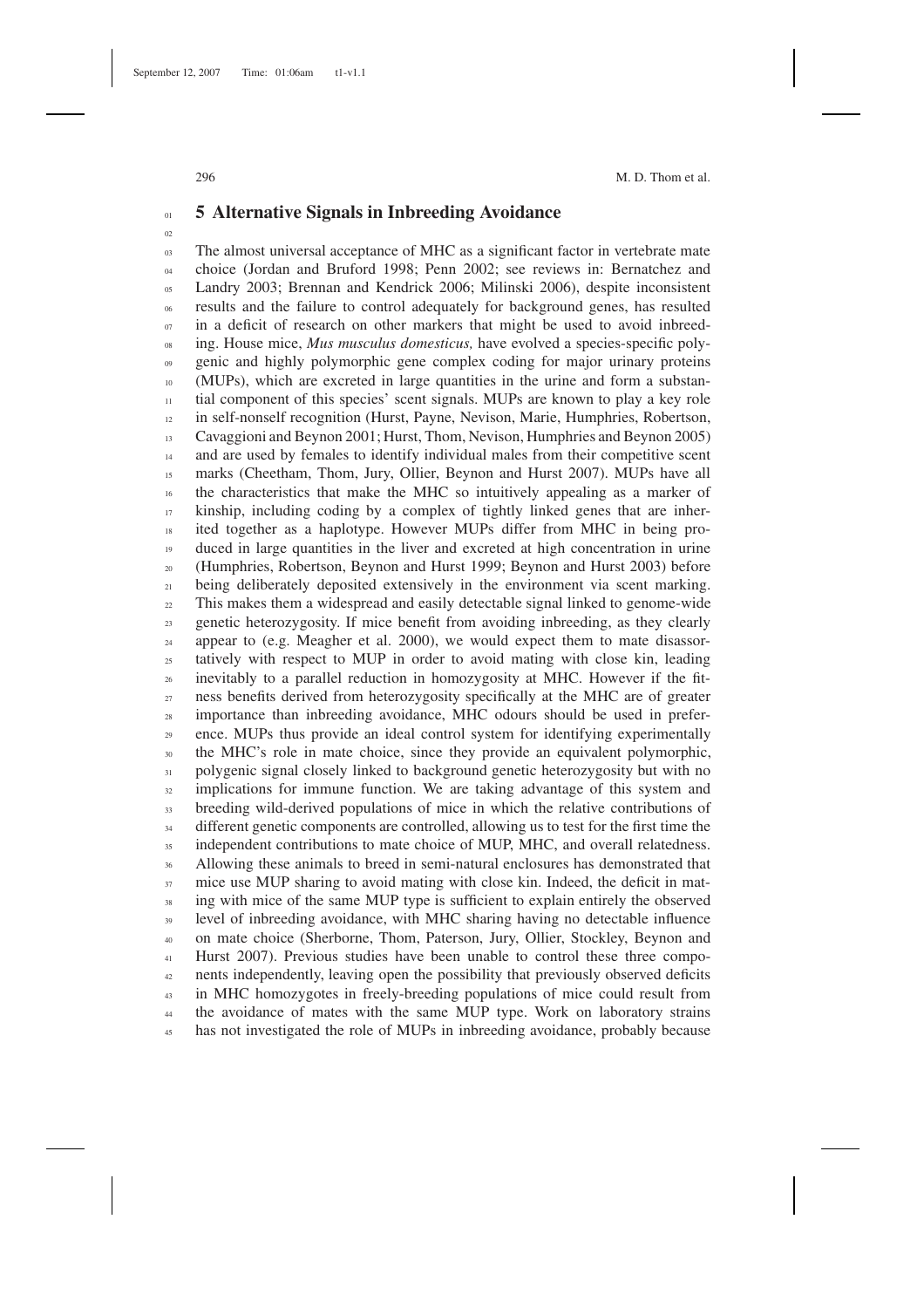## **5 Alternative Signals in Inbreeding Avoidance**

03  $04$ 05 06 07 08 09 10 11 12 13 14 15 16 17 18 19  $20$  $21$ 22 23  $24$  $25$ 26 27 28 29 30 31 32 33 34 35 36 37 38 39 40 41 42 43 44 45 The almost universal acceptance of MHC as a significant factor in vertebrate mate choice (Jordan and Bruford 1998; Penn 2002; see reviews in: Bernatchez and Landry 2003; Brennan and Kendrick 2006; Milinski 2006), despite inconsistent results and the failure to control adequately for background genes, has resulted in a deficit of research on other markers that might be used to avoid inbreeding. House mice, *Mus musculus domesticus,* have evolved a species-specific polygenic and highly polymorphic gene complex coding for major urinary proteins (MUPs), which are excreted in large quantities in the urine and form a substantial component of this species' scent signals. MUPs are known to play a key role in self-nonself recognition (Hurst, Payne, Nevison, Marie, Humphries, Robertson, Cavaggioni and Beynon 2001; Hurst, Thom, Nevison, Humphries and Beynon 2005) and are used by females to identify individual males from their competitive scent marks (Cheetham, Thom, Jury, Ollier, Beynon and Hurst 2007). MUPs have all the characteristics that make the MHC so intuitively appealing as a marker of kinship, including coding by a complex of tightly linked genes that are inherited together as a haplotype. However MUPs differ from MHC in being produced in large quantities in the liver and excreted at high concentration in urine (Humphries, Robertson, Beynon and Hurst 1999; Beynon and Hurst 2003) before being deliberately deposited extensively in the environment via scent marking. This makes them a widespread and easily detectable signal linked to genome-wide genetic heterozygosity. If mice benefit from avoiding inbreeding, as they clearly appear to (e.g. Meagher et al. 2000), we would expect them to mate disassortatively with respect to MUP in order to avoid mating with close kin, leading inevitably to a parallel reduction in homozygosity at MHC. However if the fitness benefits derived from heterozygosity specifically at the MHC are of greater importance than inbreeding avoidance, MHC odours should be used in preference. MUPs thus provide an ideal control system for identifying experimentally the MHC's role in mate choice, since they provide an equivalent polymorphic, polygenic signal closely linked to background genetic heterozygosity but with no implications for immune function. We are taking advantage of this system and breeding wild-derived populations of mice in which the relative contributions of different genetic components are controlled, allowing us to test for the first time the independent contributions to mate choice of MUP, MHC, and overall relatedness. Allowing these animals to breed in semi-natural enclosures has demonstrated that mice use MUP sharing to avoid mating with close kin. Indeed, the deficit in mating with mice of the same MUP type is sufficient to explain entirely the observed level of inbreeding avoidance, with MHC sharing having no detectable influence on mate choice (Sherborne, Thom, Paterson, Jury, Ollier, Stockley, Beynon and Hurst 2007). Previous studies have been unable to control these three components independently, leaving open the possibility that previously observed deficits in MHC homozygotes in freely-breeding populations of mice could result from the avoidance of mates with the same MUP type. Work on laboratory strains has not investigated the role of MUPs in inbreeding avoidance, probably because

 $01$  $02$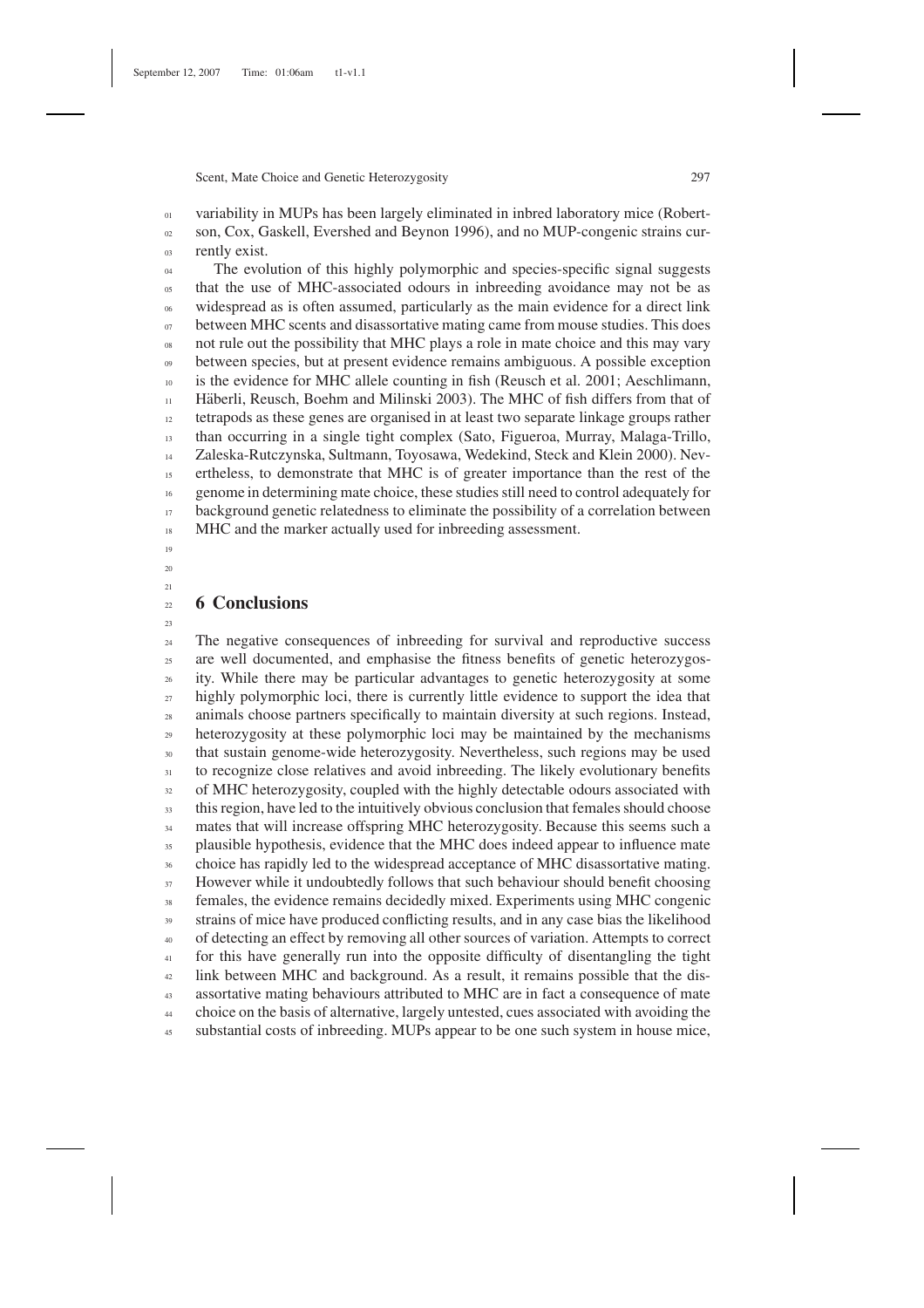$01$  $02$ 03 variability in MUPs has been largely eliminated in inbred laboratory mice (Robertson, Cox, Gaskell, Evershed and Beynon 1996), and no MUP-congenic strains currently exist.

 $04$ 05 06 07 08 09 10 11 12 13 14 15 16 17 18 The evolution of this highly polymorphic and species-specific signal suggests that the use of MHC-associated odours in inbreeding avoidance may not be as widespread as is often assumed, particularly as the main evidence for a direct link between MHC scents and disassortative mating came from mouse studies. This does not rule out the possibility that MHC plays a role in mate choice and this may vary between species, but at present evidence remains ambiguous. A possible exception is the evidence for MHC allele counting in fish (Reusch et al. 2001; Aeschlimann, Häberli, Reusch, Boehm and Milinski 2003). The MHC of fish differs from that of tetrapods as these genes are organised in at least two separate linkage groups rather than occurring in a single tight complex (Sato, Figueroa, Murray, Malaga-Trillo, Zaleska-Rutczynska, Sultmann, Toyosawa, Wedekind, Steck and Klein 2000). Nevertheless, to demonstrate that MHC is of greater importance than the rest of the genome in determining mate choice, these studies still need to control adequately for background genetic relatedness to eliminate the possibility of a correlation between MHC and the marker actually used for inbreeding assessment.

19

 $20$  $21$ 

#### **6 Conclusions**

22 23

 $24$  $25$ 26 27 28 29 30 31 32 33 34 35 36 37 38 39 40 41 42 43 44 45 The negative consequences of inbreeding for survival and reproductive success are well documented, and emphasise the fitness benefits of genetic heterozygosity. While there may be particular advantages to genetic heterozygosity at some highly polymorphic loci, there is currently little evidence to support the idea that animals choose partners specifically to maintain diversity at such regions. Instead, heterozygosity at these polymorphic loci may be maintained by the mechanisms that sustain genome-wide heterozygosity. Nevertheless, such regions may be used to recognize close relatives and avoid inbreeding. The likely evolutionary benefits of MHC heterozygosity, coupled with the highly detectable odours associated with this region, have led to the intuitively obvious conclusion that females should choose mates that will increase offspring MHC heterozygosity. Because this seems such a plausible hypothesis, evidence that the MHC does indeed appear to influence mate choice has rapidly led to the widespread acceptance of MHC disassortative mating. However while it undoubtedly follows that such behaviour should benefit choosing females, the evidence remains decidedly mixed. Experiments using MHC congenic strains of mice have produced conflicting results, and in any case bias the likelihood of detecting an effect by removing all other sources of variation. Attempts to correct for this have generally run into the opposite difficulty of disentangling the tight link between MHC and background. As a result, it remains possible that the disassortative mating behaviours attributed to MHC are in fact a consequence of mate choice on the basis of alternative, largely untested, cues associated with avoiding the substantial costs of inbreeding. MUPs appear to be one such system in house mice,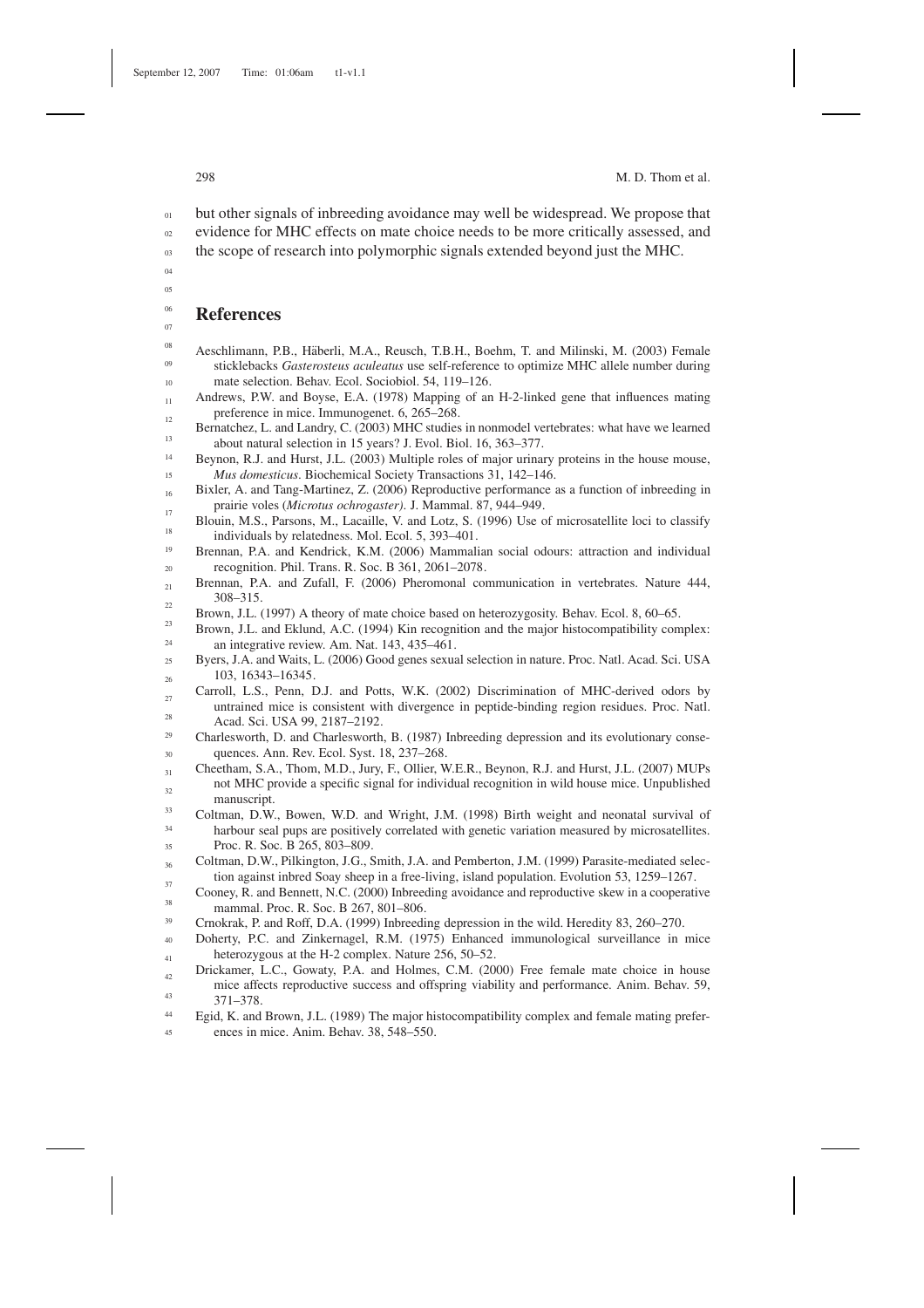$01$  $02$ but other signals of inbreeding avoidance may well be widespread. We propose that evidence for MHC effects on mate choice needs to be more critically assessed, and

03 the scope of research into polymorphic signals extended beyond just the MHC.

 $04$ 05

#### 06 **References**

07 08

09 10

13

- Aeschlimann, P.B., Häberli, M.A., Reusch, T.B.H., Boehm, T. and Milinski, M. (2003) Female sticklebacks *Gasterosteus aculeatus* use self-reference to optimize MHC allele number during mate selection. Behav. Ecol. Sociobiol. 54, 119–126.
- 11 12 Andrews, P.W. and Boyse, E.A. (1978) Mapping of an H-2-linked gene that influences mating preference in mice. Immunogenet. 6, 265–268.

Bernatchez, L. and Landry, C. (2003) MHC studies in nonmodel vertebrates: what have we learned about natural selection in 15 years? J. Evol. Biol. 16, 363–377.

14 15 Beynon, R.J. and Hurst, J.L. (2003) Multiple roles of major urinary proteins in the house mouse, *Mus domesticus*. Biochemical Society Transactions 31, 142–146.

16 17 Bixler, A. and Tang-Martinez, Z. (2006) Reproductive performance as a function of inbreeding in prairie voles (*Microtus ochrogaster)*. J. Mammal. 87, 944–949.

18 Blouin, M.S., Parsons, M., Lacaille, V. and Lotz, S. (1996) Use of microsatellite loci to classify individuals by relatedness. Mol. Ecol. 5, 393–401.

19  $20$ Brennan, P.A. and Kendrick, K.M. (2006) Mammalian social odours: attraction and individual recognition. Phil. Trans. R. Soc. B 361, 2061–2078.

 $21$ 22 Brennan, P.A. and Zufall, F. (2006) Pheromonal communication in vertebrates. Nature 444, 308–315.

Brown, J.L. (1997) A theory of mate choice based on heterozygosity. Behav. Ecol. 8, 60–65.

- 23  $24$ Brown, J.L. and Eklund, A.C. (1994) Kin recognition and the major histocompatibility complex: an integrative review. Am. Nat. 143, 435–461.
- $25$ 26 Byers, J.A. and Waits, L. (2006) Good genes sexual selection in nature. Proc. Natl. Acad. Sci. USA 103, 16343–16345.
- 27 28 Carroll, L.S., Penn, D.J. and Potts, W.K. (2002) Discrimination of MHC-derived odors by untrained mice is consistent with divergence in peptide-binding region residues. Proc. Natl. Acad. Sci. USA 99, 2187–2192.
- 29 30 Charlesworth, D. and Charlesworth, B. (1987) Inbreeding depression and its evolutionary consequences. Ann. Rev. Ecol. Syst. 18, 237–268.
- 31 32 Cheetham, S.A., Thom, M.D., Jury, F., Ollier, W.E.R., Beynon, R.J. and Hurst, J.L. (2007) MUPs not MHC provide a specific signal for individual recognition in wild house mice. Unpublished manuscript.
- 33 34 35 Coltman, D.W., Bowen, W.D. and Wright, J.M. (1998) Birth weight and neonatal survival of harbour seal pups are positively correlated with genetic variation measured by microsatellites. Proc. R. Soc. B 265, 803–809.
- 36 Coltman, D.W., Pilkington, J.G., Smith, J.A. and Pemberton, J.M. (1999) Parasite-mediated selection against inbred Soay sheep in a free-living, island population. Evolution 53, 1259–1267.
- 37 38 Cooney, R. and Bennett, N.C. (2000) Inbreeding avoidance and reproductive skew in a cooperative mammal. Proc. R. Soc. B 267, 801–806.
- 39 Crnokrak, P. and Roff, D.A. (1999) Inbreeding depression in the wild. Heredity 83, 260–270.
- 40 41 Doherty, P.C. and Zinkernagel, R.M. (1975) Enhanced immunological surveillance in mice heterozygous at the H-2 complex. Nature 256, 50–52.
- 42 43 Drickamer, L.C., Gowaty, P.A. and Holmes, C.M. (2000) Free female mate choice in house mice affects reproductive success and offspring viability and performance. Anim. Behav. 59, 371–378.
- 44 45 Egid, K. and Brown, J.L. (1989) The major histocompatibility complex and female mating preferences in mice. Anim. Behav. 38, 548–550.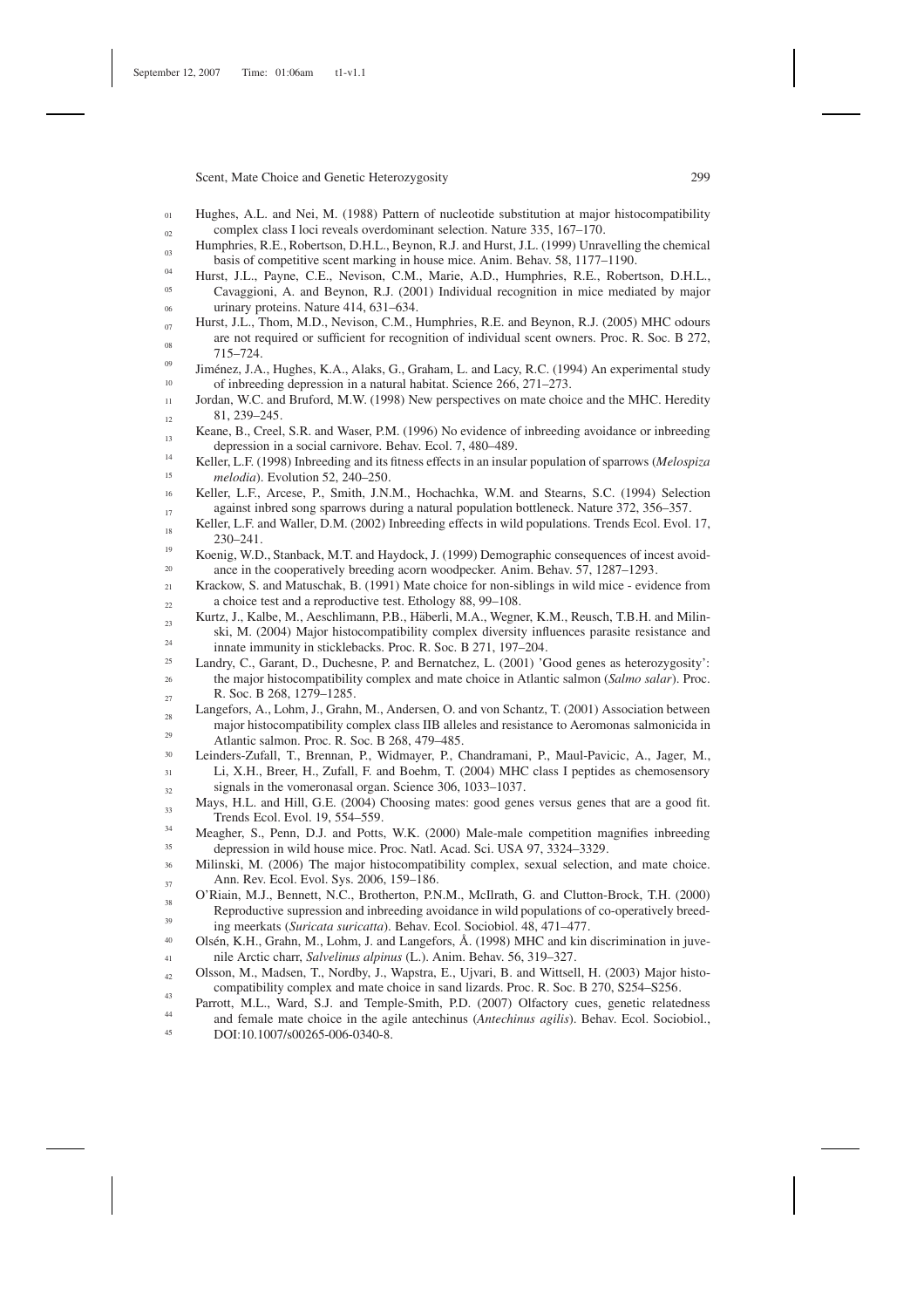- $01$  $02$ Hughes, A.L. and Nei, M. (1988) Pattern of nucleotide substitution at major histocompatibility complex class I loci reveals overdominant selection. Nature 335, 167–170.
- 03 Humphries, R.E., Robertson, D.H.L., Beynon, R.J. and Hurst, J.L. (1999) Unravelling the chemical basis of competitive scent marking in house mice. Anim. Behav. 58, 1177–1190.
- $04$ 05 06 Hurst, J.L., Payne, C.E., Nevison, C.M., Marie, A.D., Humphries, R.E., Robertson, D.H.L., Cavaggioni, A. and Beynon, R.J. (2001) Individual recognition in mice mediated by major urinary proteins. Nature 414, 631–634.
- 07 08 Hurst, J.L., Thom, M.D., Nevison, C.M., Humphries, R.E. and Beynon, R.J. (2005) MHC odours are not required or sufficient for recognition of individual scent owners. Proc. R. Soc. B 272, 715–724.
- 09 10 Jiménez, J.A., Hughes, K.A., Alaks, G., Graham, L. and Lacy, R.C. (1994) An experimental study of inbreeding depression in a natural habitat. Science 266, 271–273.
- 11 12 Jordan, W.C. and Bruford, M.W. (1998) New perspectives on mate choice and the MHC. Heredity 81, 239–245.
- 13 14 Keane, B., Creel, S.R. and Waser, P.M. (1996) No evidence of inbreeding avoidance or inbreeding depression in a social carnivore. Behav. Ecol. 7, 480–489.
- 15 Keller, L.F. (1998) Inbreeding and its fitness effects in an insular population of sparrows (*Melospiza melodia*). Evolution 52, 240–250.
- 16 17 Keller, L.F., Arcese, P., Smith, J.N.M., Hochachka, W.M. and Stearns, S.C. (1994) Selection against inbred song sparrows during a natural population bottleneck. Nature 372, 356–357.
- 18 Keller, L.F. and Waller, D.M. (2002) Inbreeding effects in wild populations. Trends Ecol. Evol. 17, 230–241.
- 19 20 Koenig, W.D., Stanback, M.T. and Haydock, J. (1999) Demographic consequences of incest avoidance in the cooperatively breeding acorn woodpecker. Anim. Behav. 57, 1287–1293.
- $21$ 22 Krackow, S. and Matuschak, B. (1991) Mate choice for non-siblings in wild mice - evidence from a choice test and a reproductive test. Ethology 88, 99–108.
- 23  $24$ Kurtz, J., Kalbe, M., Aeschlimann, P.B., Häberli, M.A., Wegner, K.M., Reusch, T.B.H. and Milinski, M. (2004) Major histocompatibility complex diversity influences parasite resistance and innate immunity in sticklebacks. Proc. R. Soc. B 271, 197–204.
- $25$ 26 27 Landry, C., Garant, D., Duchesne, P. and Bernatchez, L. (2001) 'Good genes as heterozygosity': the major histocompatibility complex and mate choice in Atlantic salmon (*Salmo salar*). Proc. R. Soc. B 268, 1279–1285.
- 28 29 Langefors, A., Lohm, J., Grahn, M., Andersen, O. and von Schantz, T. (2001) Association between major histocompatibility complex class IIB alleles and resistance to Aeromonas salmonicida in Atlantic salmon. Proc. R. Soc. B 268, 479–485.
- 30 31 32 Leinders-Zufall, T., Brennan, P., Widmayer, P., Chandramani, P., Maul-Pavicic, A., Jager, M., Li, X.H., Breer, H., Zufall, F. and Boehm, T. (2004) MHC class I peptides as chemosensory signals in the vomeronasal organ. Science 306, 1033–1037.
- 33 Mays, H.L. and Hill, G.E. (2004) Choosing mates: good genes versus genes that are a good fit. Trends Ecol. Evol. 19, 554–559.
- 34 35 Meagher, S., Penn, D.J. and Potts, W.K. (2000) Male-male competition magnifies inbreeding depression in wild house mice. Proc. Natl. Acad. Sci. USA 97, 3324–3329.
- 36 37 Milinski, M. (2006) The major histocompatibility complex, sexual selection, and mate choice. Ann. Rev. Ecol. Evol. Sys. 2006, 159–186.
- 38 39 O'Riain, M.J., Bennett, N.C., Brotherton, P.N.M., McIlrath, G. and Clutton-Brock, T.H. (2000) Reproductive supression and inbreeding avoidance in wild populations of co-operatively breeding meerkats (*Suricata suricatta*). Behav. Ecol. Sociobiol. 48, 471–477.
- 40 41 Olsén, K.H., Grahn, M., Lohm, J. and Langefors, Å. (1998) MHC and kin discrimination in juvenile Arctic charr, *Salvelinus alpinus* (L.). Anim. Behav. 56, 319–327.
- 42 Olsson, M., Madsen, T., Nordby, J., Wapstra, E., Ujvari, B. and Wittsell, H. (2003) Major histocompatibility complex and mate choice in sand lizards. Proc. R. Soc. B 270, S254–S256.
- 43 Parrott, M.L., Ward, S.J. and Temple-Smith, P.D. (2007) Olfactory cues, genetic relatedness
- 44 45 and female mate choice in the agile antechinus (*Antechinus agilis*). Behav. Ecol. Sociobiol., DOI:10.1007/s00265-006-0340-8.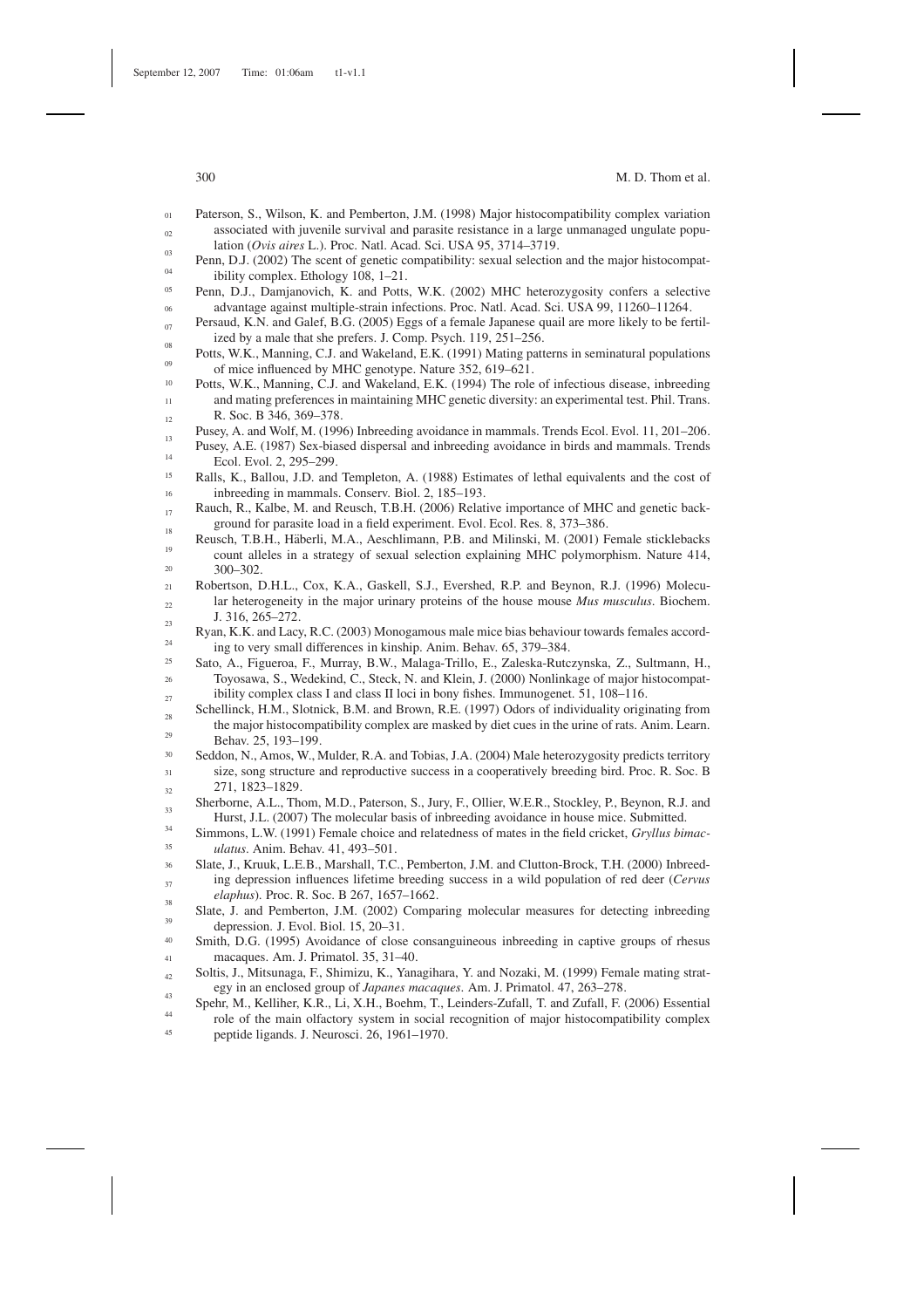$01$  $02$ 03  $04$ 05 06 07 08 09 10 11 12 13 14 15 16 17 18 19 20  $21$ 22 23  $24$  $25$ 26 27 28 29 30 31 32 33 34 35 36 37 38 39 40 41 42 43 44 45 Paterson, S., Wilson, K. and Pemberton, J.M. (1998) Major histocompatibility complex variation associated with juvenile survival and parasite resistance in a large unmanaged ungulate population (*Ovis aires* L.). Proc. Natl. Acad. Sci. USA 95, 3714–3719. Penn, D.J. (2002) The scent of genetic compatibility: sexual selection and the major histocompatibility complex. Ethology 108, 1–21. Penn, D.J., Damjanovich, K. and Potts, W.K. (2002) MHC heterozygosity confers a selective advantage against multiple-strain infections. Proc. Natl. Acad. Sci. USA 99, 11260–11264. Persaud, K.N. and Galef, B.G. (2005) Eggs of a female Japanese quail are more likely to be fertilized by a male that she prefers. J. Comp. Psych. 119, 251–256. Potts, W.K., Manning, C.J. and Wakeland, E.K. (1991) Mating patterns in seminatural populations of mice influenced by MHC genotype. Nature 352, 619–621. Potts, W.K., Manning, C.J. and Wakeland, E.K. (1994) The role of infectious disease, inbreeding and mating preferences in maintaining MHC genetic diversity: an experimental test. Phil. Trans. R. Soc. B 346, 369–378. Pusey, A. and Wolf, M. (1996) Inbreeding avoidance in mammals. Trends Ecol. Evol. 11, 201–206. Pusey, A.E. (1987) Sex-biased dispersal and inbreeding avoidance in birds and mammals. Trends Ecol. Evol. 2, 295–299. Ralls, K., Ballou, J.D. and Templeton, A. (1988) Estimates of lethal equivalents and the cost of inbreeding in mammals. Conserv. Biol. 2, 185–193. Rauch, R., Kalbe, M. and Reusch, T.B.H. (2006) Relative importance of MHC and genetic background for parasite load in a field experiment. Evol. Ecol. Res. 8, 373–386. Reusch, T.B.H., Häberli, M.A., Aeschlimann, P.B. and Milinski, M. (2001) Female sticklebacks count alleles in a strategy of sexual selection explaining MHC polymorphism. Nature 414, 300–302. Robertson, D.H.L., Cox, K.A., Gaskell, S.J., Evershed, R.P. and Beynon, R.J. (1996) Molecular heterogeneity in the major urinary proteins of the house mouse *Mus musculus*. Biochem. J. 316, 265–272. Ryan, K.K. and Lacy, R.C. (2003) Monogamous male mice bias behaviour towards females according to very small differences in kinship. Anim. Behav. 65, 379–384. Sato, A., Figueroa, F., Murray, B.W., Malaga-Trillo, E., Zaleska-Rutczynska, Z., Sultmann, H., Toyosawa, S., Wedekind, C., Steck, N. and Klein, J. (2000) Nonlinkage of major histocompatibility complex class I and class II loci in bony fishes. Immunogenet. 51, 108–116. Schellinck, H.M., Slotnick, B.M. and Brown, R.E. (1997) Odors of individuality originating from the major histocompatibility complex are masked by diet cues in the urine of rats. Anim. Learn. Behav. 25, 193–199. Seddon, N., Amos, W., Mulder, R.A. and Tobias, J.A. (2004) Male heterozygosity predicts territory size, song structure and reproductive success in a cooperatively breeding bird. Proc. R. Soc. B 271, 1823–1829. Sherborne, A.L., Thom, M.D., Paterson, S., Jury, F., Ollier, W.E.R., Stockley, P., Beynon, R.J. and Hurst, J.L. (2007) The molecular basis of inbreeding avoidance in house mice. Submitted. Simmons, L.W. (1991) Female choice and relatedness of mates in the field cricket, *Gryllus bimaculatus*. Anim. Behav. 41, 493–501. Slate, J., Kruuk, L.E.B., Marshall, T.C., Pemberton, J.M. and Clutton-Brock, T.H. (2000) Inbreeding depression influences lifetime breeding success in a wild population of red deer (*Cervus elaphus*). Proc. R. Soc. B 267, 1657–1662. Slate, J. and Pemberton, J.M. (2002) Comparing molecular measures for detecting inbreeding depression. J. Evol. Biol. 15, 20–31. Smith, D.G. (1995) Avoidance of close consanguineous inbreeding in captive groups of rhesus macaques. Am. J. Primatol. 35, 31–40. Soltis, J., Mitsunaga, F., Shimizu, K., Yanagihara, Y. and Nozaki, M. (1999) Female mating strategy in an enclosed group of *Japanes macaques*. Am. J. Primatol. 47, 263–278. Spehr, M., Kelliher, K.R., Li, X.H., Boehm, T., Leinders-Zufall, T. and Zufall, F. (2006) Essential role of the main olfactory system in social recognition of major histocompatibility complex peptide ligands. J. Neurosci. 26, 1961–1970.